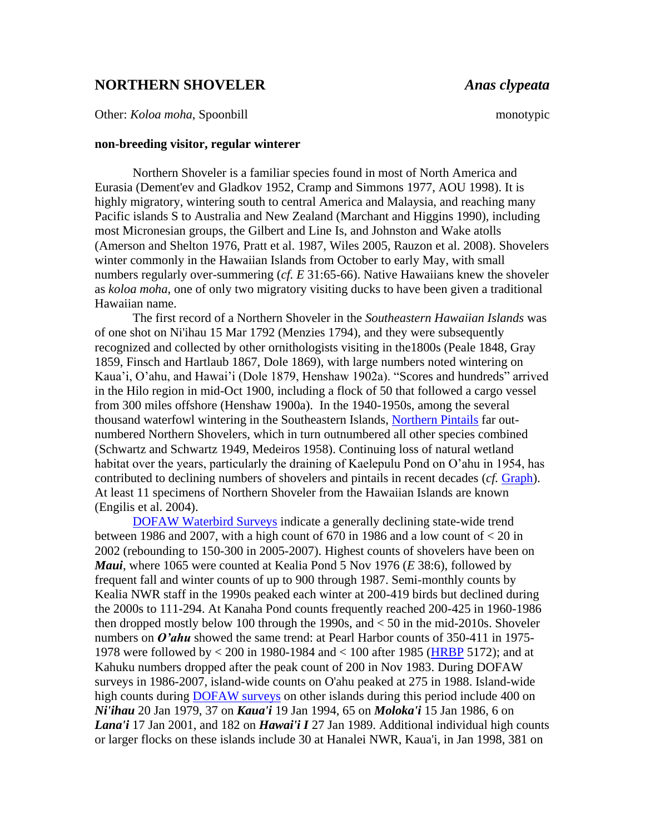## **NORTHERN SHOVELER** *Anas clypeata*

Other: *Koloa moha*, Spoonbill monotypic

## **non-breeding visitor, regular winterer**

Northern Shoveler is a familiar species found in most of North America and Eurasia (Dement'ev and Gladkov 1952, Cramp and Simmons 1977, AOU 1998). It is highly migratory, wintering south to central America and Malaysia, and reaching many Pacific islands S to Australia and New Zealand (Marchant and Higgins 1990), including most Micronesian groups, the Gilbert and Line Is, and Johnston and Wake atolls (Amerson and Shelton 1976, Pratt et al. 1987, Wiles 2005, Rauzon et al. 2008). Shovelers winter commonly in the Hawaiian Islands from October to early May, with small numbers regularly over-summering (*cf. E* 31:65-66). Native Hawaiians knew the shoveler as *koloa moha*, one of only two migratory visiting ducks to have been given a traditional Hawaiian name.

The first record of a Northern Shoveler in the *Southeastern Hawaiian Islands* was of one shot on Ni'ihau 15 Mar 1792 (Menzies 1794), and they were subsequently recognized and collected by other ornithologists visiting in the1800s (Peale 1848, Gray 1859, Finsch and Hartlaub 1867, Dole 1869), with large numbers noted wintering on Kaua'i, O'ahu, and Hawai'i (Dole 1879, Henshaw 1902a). "Scores and hundreds" arrived in the Hilo region in mid-Oct 1900, including a flock of 50 that followed a cargo vessel from 300 miles offshore (Henshaw 1900a). In the 1940-1950s, among the several thousand waterfowl wintering in the Southeastern Islands, [Northern Pintails](http://hbs.bishopmuseum.org/birds/rlp-monograph/pdfs/01-Anatidae/NOPI.pdf) far outnumbered Northern Shovelers, which in turn outnumbered all other species combined (Schwartz and Schwartz 1949, Medeiros 1958). Continuing loss of natural wetland habitat over the years, particularly the draining of Kaelepulu Pond on O'ahu in 1954, has contributed to declining numbers of shovelers and pintails in recent decades (*cf.* [Graph\)](http://hbs.bishopmuseum.org/birds/rlp-monograph/cc/NSHO-HonoluluCC.htm). At least 11 specimens of Northern Shoveler from the Hawaiian Islands are known (Engilis et al. 2004).

[DOFAW Waterbird Surveys](http://hbs.bishopmuseum.org/birds/rlp-monograph/Introduction.htm#dofaw) indicate a generally declining state-wide trend between 1986 and 2007, with a high count of  $670$  in 1986 and a low count of  $< 20$  in 2002 (rebounding to 150-300 in 2005-2007). Highest counts of shovelers have been on *Maui*, where 1065 were counted at Kealia Pond 5 Nov 1976 (*E* 38:6), followed by frequent fall and winter counts of up to 900 through 1987. Semi-monthly counts by Kealia NWR staff in the 1990s peaked each winter at 200-419 birds but declined during the 2000s to 111-294. At Kanaha Pond counts frequently reached 200-425 in 1960-1986 then dropped mostly below 100 through the 1990s, and  $\lt$  50 in the mid-2010s. Shoveler numbers on *O'ahu* showed the same trend: at Pearl Harbor counts of 350-411 in 1975-1978 were followed by < 200 in 1980-1984 and < 100 after 1985 [\(HRBP](http://hbs.bishopmuseum.org/birds/rlp-monograph/HRBP-pages/01-Anatidae/NSHO-HRBP.htm) 5172); and at Kahuku numbers dropped after the peak count of 200 in Nov 1983. During DOFAW surveys in 1986-2007, island-wide counts on O'ahu peaked at 275 in 1988. Island-wide high counts during [DOFAW surveys](http://hbs.bishopmuseum.org/birds/rlp-monograph/Introduction.htm#dofaw) on other islands during this period include 400 on *Ni'ihau* 20 Jan 1979, 37 on *Kaua'i* 19 Jan 1994, 65 on *Moloka'i* 15 Jan 1986, 6 on *Lana'i* 17 Jan 2001, and 182 on *Hawai'i I* 27 Jan 1989. Additional individual high counts or larger flocks on these islands include 30 at Hanalei NWR, Kaua'i, in Jan 1998, 381 on